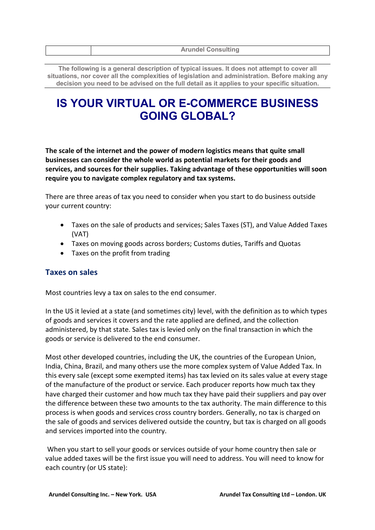| <b>Arundel Consulting</b> |  |  |
|---------------------------|--|--|
|                           |  |  |

**The following is a general description of typical issues. It does not attempt to cover all situations, nor cover all the complexities of legislation and administration. Before making any decision you need to be advised on the full detail as it applies to your specific situation.**

# **IS YOUR VIRTUAL OR E-COMMERCE BUSINESS GOING GLOBAL?**

**The scale of the internet and the power of modern logistics means that quite small businesses can consider the whole world as potential markets for their goods and services, and sources for their supplies. Taking advantage of these opportunities will soon require you to navigate complex regulatory and tax systems.** 

There are three areas of tax you need to consider when you start to do business outside your current country:

- Taxes on the sale of products and services; Sales Taxes (ST), and Value Added Taxes (VAT)
- Taxes on moving goods across borders; Customs duties, Tariffs and Quotas
- Taxes on the profit from trading

#### **Taxes on sales**

Most countries levy a tax on sales to the end consumer.

In the US it levied at a state (and sometimes city) level, with the definition as to which types of goods and services it covers and the rate applied are defined, and the collection administered, by that state. Sales tax is levied only on the final transaction in which the goods or service is delivered to the end consumer.

Most other developed countries, including the UK, the countries of the European Union, India, China, Brazil, and many others use the more complex system of Value Added Tax. In this every sale (except some exempted items) has tax levied on its sales value at every stage of the manufacture of the product or service. Each producer reports how much tax they have charged their customer and how much tax they have paid their suppliers and pay over the difference between these two amounts to the tax authority. The main difference to this process is when goods and services cross country borders. Generally, no tax is charged on the sale of goods and services delivered outside the country, but tax is charged on all goods and services imported into the country.

When you start to sell your goods or services outside of your home country then sale or value added taxes will be the first issue you will need to address. You will need to know for each country (or US state):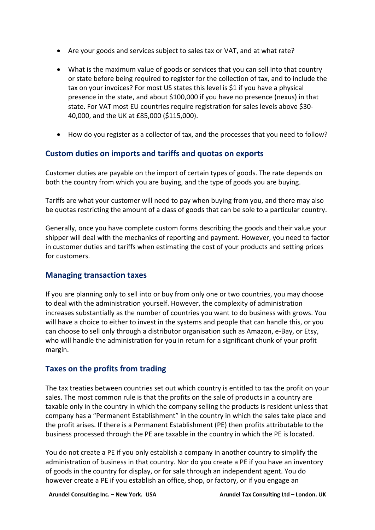- Are your goods and services subject to sales tax or VAT, and at what rate?
- What is the maximum value of goods or services that you can sell into that country or state before being required to register for the collection of tax, and to include the tax on your invoices? For most US states this level is \$1 if you have a physical presence in the state, and about \$100,000 if you have no presence (nexus) in that state. For VAT most EU countries require registration for sales levels above \$30- 40,000, and the UK at £85,000 (\$115,000).
- How do you register as a collector of tax, and the processes that you need to follow?

### **Custom duties on imports and tariffs and quotas on exports**

Customer duties are payable on the import of certain types of goods. The rate depends on both the country from which you are buying, and the type of goods you are buying.

Tariffs are what your customer will need to pay when buying from you, and there may also be quotas restricting the amount of a class of goods that can be sole to a particular country.

Generally, once you have complete custom forms describing the goods and their value your shipper will deal with the mechanics of reporting and payment. However, you need to factor in customer duties and tariffs when estimating the cost of your products and setting prices for customers.

#### **Managing transaction taxes**

If you are planning only to sell into or buy from only one or two countries, you may choose to deal with the administration yourself. However, the complexity of administration increases substantially as the number of countries you want to do business with grows. You will have a choice to either to invest in the systems and people that can handle this, or you can choose to sell only through a distributor organisation such as Amazon, e-Bay, or Etsy, who will handle the administration for you in return for a significant chunk of your profit margin.

#### **Taxes on the profits from trading**

The tax treaties between countries set out which country is entitled to tax the profit on your sales. The most common rule is that the profits on the sale of products in a country are taxable only in the country in which the company selling the products is resident unless that company has a "Permanent Establishment" in the country in which the sales take place and the profit arises. If there is a Permanent Establishment (PE) then profits attributable to the business processed through the PE are taxable in the country in which the PE is located.

You do not create a PE if you only establish a company in another country to simplify the administration of business in that country. Nor do you create a PE if you have an inventory of goods in the country for display, or for sale through an independent agent. You do however create a PE if you establish an office, shop, or factory, or if you engage an

**Arundel Consulting Inc. – New York. USA Arundel Tax Consulting Ltd – London. UK**